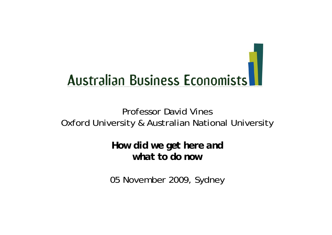

### Professor David VinesOxford University & Australian National University

*How did we get here and what to do now*

05 November 2009, Sydney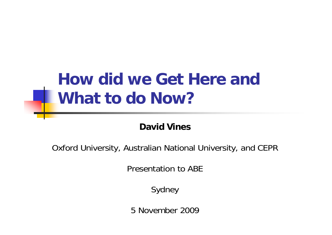# **How did we Get Here and What to do Now?**

#### **David Vines**

Oxford University, Australian National University, and CEPR

Presentation to ABE

Sydney

5 November 2009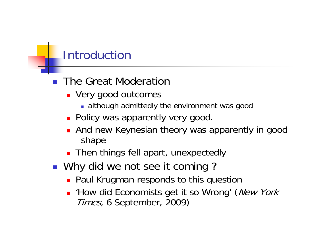## Introduction

- **The Great Moderation** 
	- **Very good outcomes** 
		- although admittedly the environment was good
	- **Policy was apparently very good.**
	- **And new Keynesian theory was apparently in good** shape
	- **Then things fell apart, unexpectedly**
- Why did we not see it coming?
	- **Paul Krugman responds to this question**
	- **How did Economists get it so Wrong' (New York** Times, 6 September, 2009)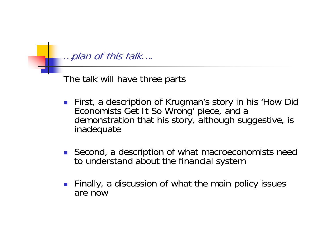…plan of this talk….

The talk will have three parts

- **First, a description of Krugman's story in his 'How Did** Economists Get It So Wrong' piece, and <sup>a</sup> demonstration that his story, although suggestive, is inadequate
- **Second, a description of what macroeconomists need** to understand about the financial system
- $\mathcal{L}_{\mathrm{max}}$  Finally, a discussion of what the main policy issues are now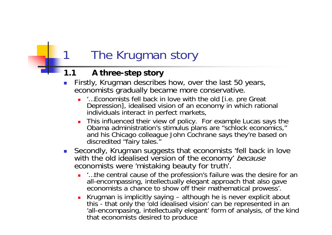## The Krugman story

#### **1.1 A three-step story**

- П Firstly, Krugman describes how, over the last 50 years, economists gradually became more conservative.
	- г '…Economists fell back in love with the old [i.e. pre Great Depression], idealised vision of an economy in which rational individuals interact in perfect markets,
	- $\blacksquare$  This influenced their view of policy. For example Lucas says the Obama administration's stimulus plans are "schlock economics," and his Chicago colleague John Cochrane says they're based on discredited "fairy tales."
- Secondly, Krugman suggests that economists 'fell back in love with the old idealised version of the economy' because economists were 'mistaking beauty for truth'.
	- :…the central cause of the profession's failure was the desire for an all-encompassing, intellectually elegant approach that also gave economists a chance to show off their mathematical prowess'.
	- **Krugman is implicitly saying although he is never explicit about** this - that only the 'old idealised vision' can be represented in an 'all-encompasing, intellectually elegant' form of analysis, of the kind that economists desired to produce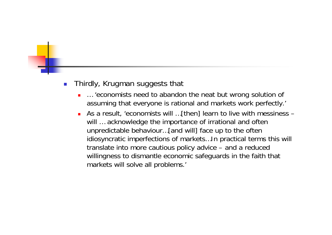#### $\mathcal{L}_{\mathcal{A}}$ Thirdly, Krugman suggests that

- г … 'economists need to abandon the neat but wrong solution of assuming that everyone is rational and markets work perfectly.'
- As a result, 'economists will …[then] learn to live with messiness will ... acknowledge the importance of irrational and often unpredictable behaviour…[and will] face up to the often idiosyncratic imperfections of markets…In practical terms this will translate into more cautious policy advice – and a reduced willingness to dismantle economic safeguards in the faith that markets will solve all problems.'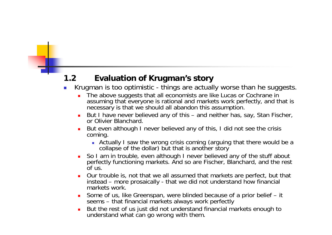#### **1.2 Evaluation of Krugman's story**

- p. Krugman is too optimistic - things are actually worse than he suggests.
	- Г The above suggests that all economists are like Lucas or Cochrane in assuming that everyone is rational and markets work perfectly, and that is necessary is that we should all abandon this assumption.
	- But I have never believed any of this and neither has, say, Stan Fischer, or Olivier Blanchard.
	- Г But even although I never believed any of this, I did not see the crisis coming.
		- Actually I saw the wrong crisis coming (arguing that there would be a collapse of the dollar) but that is another story
	- ٠ So I am in trouble, even although I never believed any of the stuff about perfectly functioning markets. And so are Fischer, Blanchard, and the rest of us.
	- Г Our trouble is, not that we all assumed that markets are perfect, but that instead – more prosaically - that we did not understand how financial markets work.
	- Some of us, like Greenspan, were blinded because of a prior belief it seems – that financial markets always work perfectly
	- $\blacksquare$  But the rest of us just did not understand financial markets enough to understand what can go wrong with them.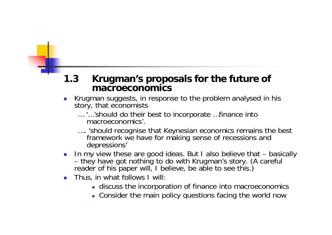#### **1.3 Krugman's proposals for the future of macroeconomics**

- $\sim$  1 Krugman suggests, in response to the problem analysed in his story, that economists
	- … '…'should do their best to incorporate …finance into macroeconomics'.
	- …. 'should recognise that Keynesian economics remains the best framework we have for making sense of recessions and depressions'
- $\sim$  In my view these are good ideas. But I also believe that – basically –- they have got nothing to do with Krugman's story. (A careful reader of his paper will, I believe, be able to see this.)
- $\mathcal{L}_{\mathcal{A}}$  Thus, in what follows I will:
	- **discuss the incorporation of finance into macroeconomics**
	- Consider the main policy questions facing the world now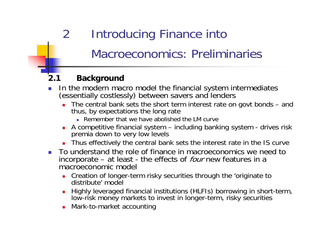# 2 Introducing Finance into Macroeconomics: Preliminaries

#### **2.1 Background**

- P. In the modern macro model the financial system intermediates (essentially costlessly) between savers and lenders
	- П The central bank sets the short term interest rate on govt bonds – and thus, by expectations the long rate
		- **Remember that we have abolished the LM curve**
	- A competitive financial system including banking system drives risk premia down to very low levels
	- П Thus effectively the central bank sets the interest rate in the IS curve
- **To understand the role of finance in macroeconomics we need to** incorporate – at least - the effects of *four* new features in a macroeconomic model
	- **Creation of longer-term risky securities through the 'originate to** distribute' model
	- П Highly leveraged financial institutions (HLFIs) borrowing in short-term, low-risk money markets to invest in longer-term, risky securities
	- П Mark-to-market accounting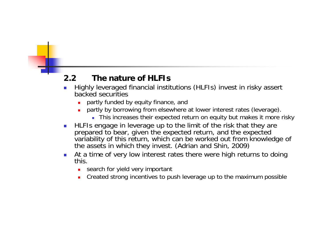#### **2.2 The nature of HLFIs**

- p. Highly leveraged financial institutions (HLFIs) invest in risky assert backed securities
	- Г partly funded by equity finance, and
	- Г partly by borrowing from elsewhere at lower interest rates (leverage).
		- This increases their expected return on equity but makes it more risky
- $\mathcal{L}_{\mathcal{A}}$  HLFIs engage in leverage up to the limit of the risk that they are prepared to bear, given the expected return, and the expected variability of this return, which can be worked out from knowledge of the assets in which they invest. (Adrian and Shin, 2009)
- $\sim 10$  At a time of very low interest rates there were high returns to doing this.
	- **search for yield very important**
	- $\blacksquare$ Created strong incentives to push leverage up to the maximum possible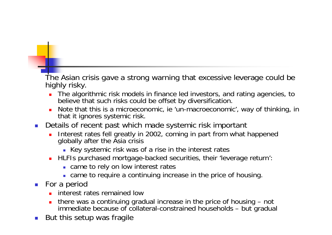The Asian crisis gave a strong warning that excessive leverage could be highly risky.

- The algorithmic risk models in finance led investors, and rating agencies, to believe that such risks could be offset by diversification.
- Note that this is a microeconomic, ie 'un-macroeconomic', way of thinking, in that it ignores systemic risk.
- П Details of recent past which made systemic risk important
	- Interest rates fell greatly in 2002, coming in part from what happened globally after the Asia crisis
		- Key systemic risk was of a rise in the interest rates
	- **HLFIs purchased mortgage-backed securities, their 'leverage return':** 
		- **came to rely on low interest rates**
		- came to require a continuing increase in the price of housing.
- **For a period** 
	- **interest rates remained low**
	- **there was a continuing gradual increase in the price of housing not** immediate because of collateral-constrained households – but gradual
- $\sim 1$ But this setup was fragile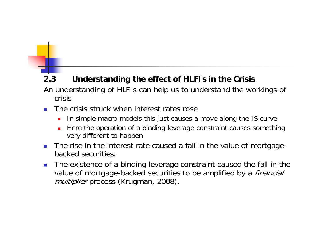#### **2.3 Understanding the effect of HLFIs in the Crisis**

An understanding of HLFIs can help us to understand the workings of crisis

- F. The crisis struck when interest rates rose
	- П In simple macro models this just causes a move along the IS curve
	- П Here the operation of a binding leverage constraint causes something very different to happen
- F. The rise in the interest rate caused a fall in the value of mortgagebacked securities.
- F. The existence of a binding leverage constraint caused the fall in the value of mortgage-backed securities to be amplified by a *financial* multiplier process (Krugman, 2008).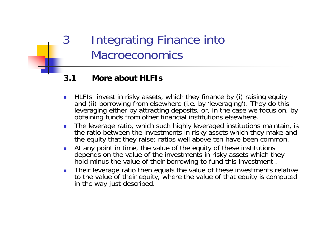### 3 Integrating Finance into Macroeconomics

#### **3.1 More about HLFIs**

- $\overline{\phantom{a}}$  HLFIs invest in risky assets, which they finance by (i) raising equity and (ii) borrowing from elsewhere (i.e. by 'leveraging'). They do this leveraging either by attracting deposits, or, in the case we focus on, by obtaining funds from other financial institutions elsewhere.
- $\overline{\phantom{a}}$  The leverage ratio, which such highly leveraged institutions maintain, is the ratio between the investments in risky assets which they make and the equity that they raise; ratios well above ten have been common.
- $\mathcal{L}_{\mathcal{A}}$  At any point in time, the value of the equity of these institutions depends on the value of the investments in risky assets which they hold minus the value of their borrowing to fund this investment .
- $\mathcal{L}_{\mathcal{A}}$  Their leverage ratio then equals the value of these investments relative to the value of their equity, where the value of that equity is computed in the way just described.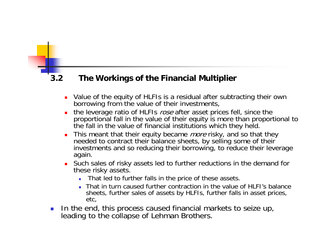#### **3.2 The Workings of the Financial Multiplier**

- Value of the equity of HLFIs is a residual after subtracting their own borrowing from the value of their investments,
- П the leverage ratio of HLFIs rose after asset prices fell, since the proportional fall in the value of their equity is more than proportional to the fall in the value of financial institutions which they held.
- $\overline{\phantom{a}}$ This meant that their equity became *more* risky, and so that they needed to contract their balance sheets, by selling some of their investments and so reducing their borrowing, to reduce their leverage again.
- Such sales of risky assets led to further reductions in the demand for these risky assets.
	- Г That led to further falls in the price of these assets.
	- That in turn caused further contraction in the value of HLFI's balance sheets, further sales of assets by HLFIs, further falls in asset prices, etc,
- $\mathcal{L}_{\mathcal{A}}$  In the end, this process caused financial markets to seize up, leading to the collapse of Lehman Brothers.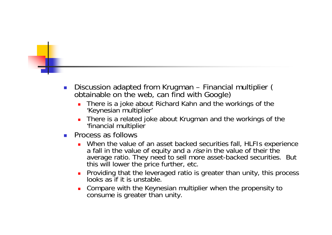- $\mathcal{A}$ Discussion adapted from Krugman – Financial multiplier ( obtainable on the web, can find with Google)
	- Г There is a joke about Richard Kahn and the workings of the 'Keynesian multiplier'
	- г There is a related joke about Krugman and the workings of the 'financial multiplier
- $\sim$  Process as follows
	- Г When the value of an asset backed securities fall, HLFIs experience a fall in the value of equity and a *rise* in the value of their the average ratio. They need to sell more asset-backed securities. But this will lower the price further, etc.
	- **Providing that the leveraged ratio is greater than unity, this process** looks as if it is unstable.
	- $\blacksquare$  Compare with the Keynesian multiplier when the propensity to consume is greater than unity.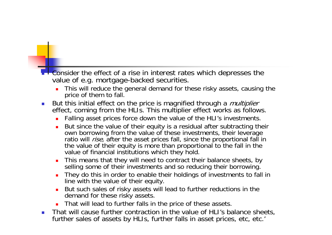#### **- Example 1** Consider the effect of a rise in interest rates which depresses the value of e.g. mortgage-backed securities.

- This will reduce the general demand for these risky assets, causing the price of them to fall.
- $\mathbb{R}^n$ But this initial effect on the price is magnified through a *multiplier* effect, coming from the HLI's. This multiplier effect works as follows.
	- **Falling asset prices force down the value of the HLI's investments.**
	- $\blacksquare$  But since the value of their equity is a residual after subtracting their own borrowing from the value of these investments, their leverage ratio will *rise*, after the asset prices fall, since the proportional fall in the value of their equity is more than proportional to the fall in the value of financial institutions which they hold.
	- $\blacksquare$  This means that they will need to contract their balance sheets, by selling some of their investments and so reducing their borrowing.
	- Г They do this in order to enable their holdings of investments to fall in line with the value of their equity.
	- $\blacksquare$  But such sales of risky assets will lead to further reductions in the demand for these risky assets.
	- That will lead to further falls in the price of these assets.
- $\mathcal{C}^{\mathcal{A}}$  That will cause further contraction in the value of HLI's balance sheets, further sales of assets by HLIs, further falls in asset prices, etc, etc.'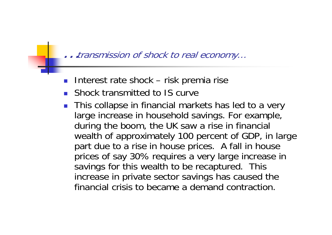…transmission of shock to real economy…

- $\mathcal{L}^{\text{max}}_{\text{max}}$ Interest rate shock – risk premia rise
- **Shock transmitted to IS curve**
- **This collapse in financial markets has led to a very** large increase in household savings. For example, during the boom, the UK saw a rise in financial wealth of approximately 100 percent of GDP, in large part due to a rise in house prices. A fall in house prices of say 30% requires a very large increase in savings for this wealth to be recaptured. This increase in private sector savings has caused the financial crisis to became a demand contraction.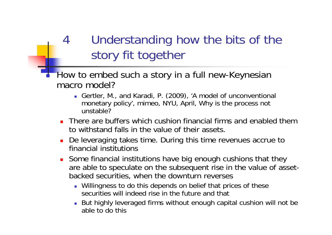## 4 Understanding how the bits of the story fit together

- Г How to embed such a story in a full new-Keynesian macro model?
	- Gertler, M., and Karadi, P. (2009), 'A model of unconventional monetary policy', mimeo, NYU, April, Why is the process not unstable?
	- П There are buffers which cushion financial firms and enabled them to withstand falls in the value of their assets.
	- De leveraging takes time. During this time revenues accrue to financial institutions
	- **Some financial institutions have big enough cushions that they** are able to speculate on the subsequent rise in the value of assetbacked securities, when the downturn reverses
		- Willingness to do this depends on belief that prices of these securities will indeed rise in the future and that
		- But highly leveraged firms without enough capital cushion will not be able to do this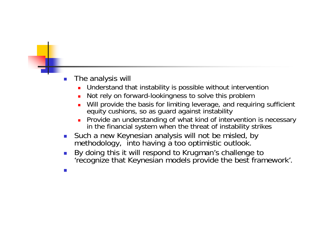- П The analysis will
	- Г Understand that instability is possible without intervention
	- Г Not rely on forward-lookingness to solve this problem
	- Г Will provide the basis for limiting leverage, and requiring sufficient equity cushions, so as guard against instability
	- г Provide an understanding of what kind of intervention is necessary in the financial system when the threat of instability strikes
- **Such a new Keynesian analysis will not be misled, by** methodology, into having a too optimistic outlook.
- П ■ By doing this it will respond to Krugman's challenge to 'recognize that Keynesian models provide the best framework'.
- П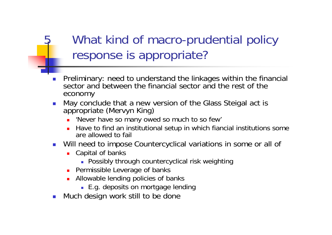## What kind of macro-prudential policy response is appropriate?

- П Preliminary: need to understand the linkages within the financial sector and between the financial sector and the rest of the economy
- П May conclude that a new version of the Glass Steigal act is appropriate (Mervyn King)
	- 'Never have so many owed so much to so few'
	- Have to find an institutional setup in which fiancial institutions some are allowed to fail
- Will need to impose Countercyclical variations in some or all of
	- **Capital of banks** 
		- Possibly through countercyclical risk weighting
	- **Permissible Leverage of banks**
	- Allowable lending policies of banks
		- E.g. deposits on mortgage lending
- П Much design work still to be done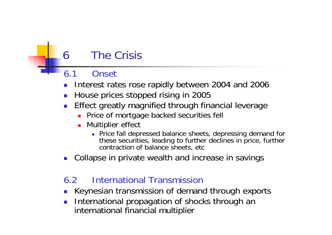### 6 The Crisis

### 6.1 Onset

- P. Interest rates rose rapidly between 2004 and 2006
- F House prices stopped rising in 2005
- P. Effect greatly magnified through financial leverage
	- **Price of mortgage backed securities fell**
	- **Nultiplier effect** 
		- **Price fall depressed balance sheets, depressing demand for** these securities, leading to further declines in price, further contraction of balance sheets, etc
- F Collapse in private wealth and increase in savings

### 6.2 International Transmission

- F Keynesian transmission of demand through exports
- F International propagation of shocks through an international financial multiplier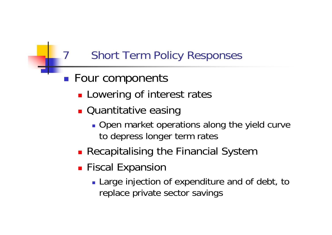### **Short Term Policy Responses**

- p. **Four components** 
	- **Lowering of interest rates**
	- **Quantitative easing** 
		- **Open market operations along the yield curve** to depress longer term rates
	- **Recapitalising the Financial System**
	- **Fiscal Expansion** 
		- **Large injection of expenditure and of debt, to** replace private sector savings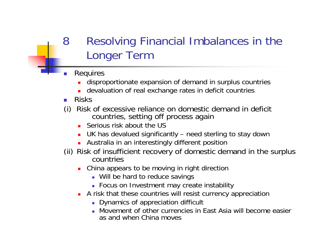### 8 Resolving Financial Imbalances in the Longer Term

- T. Requires
	- Г disproportionate expansion of demand in surplus countries
	- **devaluation of real exchange rates in deficit countries**
- **Risks**
- (i) Risk of excessive reliance on domestic demand in deficit countries, setting off process again
	- **Serious risk about the US**
	- UK has devalued significantly need sterling to stay down
	- **Australia in an interestingly different position**
- (ii) Risk of insufficient recovery of domestic demand in the surplus countries
	- **China appears to be moving in right direction** 
		- **Will be hard to reduce savings**
		- Focus on Investment may create instability
	- **A** risk that these countries will resist currency appreciation
		- **Dynamics of appreciation difficult**
		- Movement of other currencies in East Asia will become easier as and when China moves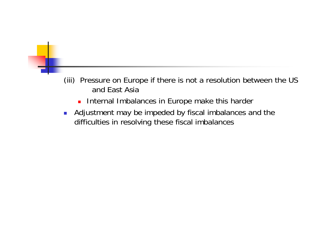#### (iii) Pressure on Europe if there is not a resolution between the US and East Asia

- **Internal Imbalances in Europe make this harder**
- $\mathcal{L}_{\mathcal{A}}$  Adjustment may be impeded by fiscal imbalances and the difficulties in resolving these fiscal imbalances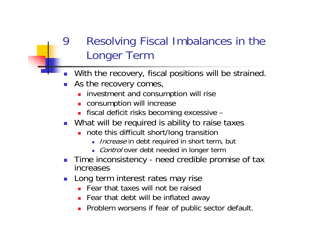### Resolving Fiscal Imbalances in the Longer Term

- **Nith the recovery, fiscal positions will be strained.**
- **As the recovery comes,** 
	- **EXTENDED investment and consumption will rise**
	- **EXECONSUMPTION WIll increase**
	- fiscal deficit risks becoming excessive –
- **Numally** What will be required is ability to raise taxes
	- **note this difficult short/long transition** 
		- **Increase in debt required in short term, but**
		- Control over debt needed in longer term
- **Time inconsistency need credible promise of tax** increases
- $\mathbb{R}^n$  Long term interest rates may rise
	- **Fear that taxes will not be raised**
	- **Fear that debt will be inflated away**
	- **Problem worsens if fear of public sector default.**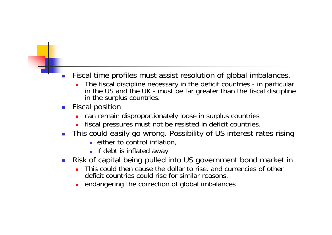#### T. Fiscal time profiles must assist resolution of global imbalances.

- Г The fiscal discipline necessary in the deficit countries - in particular in the US and the UK - must be far greater than the fiscal discipline in the surplus countries.
- П Fiscal position
	- **EXT** can remain disproportionately loose in surplus countries
	- **Fiscal pressures must not be resisted in deficit countries.**
- П This could easily go wrong. Possibility of US interest rates rising
	- **E** either to control inflation,
	- **i** if debt is inflated away
- П Risk of capital being pulled into US government bond market in
	- **This could then cause the dollar to rise, and currencies of other** deficit countries could rise for similar reasons.
	- **EXECTE Andangering the correction of global imbalances**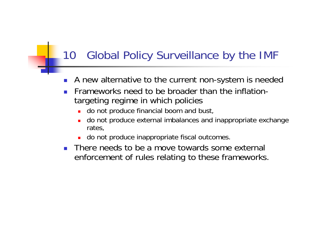### 10 Global Policy Surveillance by the IMF

- F A new alternative to the current non-system is needed
- P. Frameworks need to be broader than the inflationtargeting regime in which policies
	- **do not produce financial boom and bust,**
	- **do not produce external imbalances and inappropriate exchange** rates,
	- **do not produce inappropriate fiscal outcomes.**
- **There needs to be a move towards some external** enforcement of rules relating to these frameworks.